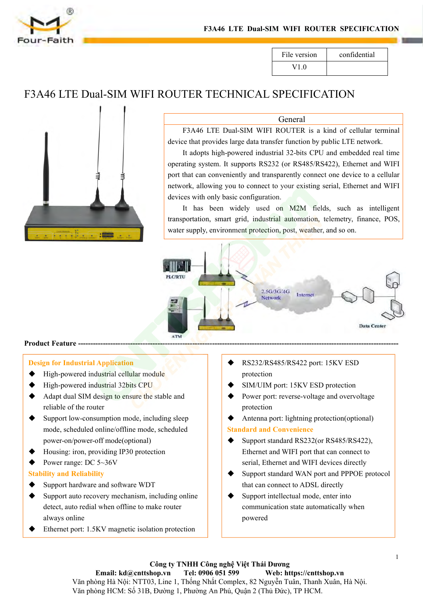





### General

F3A46 LTE Dual-SIM WIFI ROUTER SPECIFICATION<br>
File version confidential<br>
V1.0<br>
TER TECHNICAL SPECIFICATION<br>
General<br>
F3A46 LTE Dual-SIM WIFI ROUTER is a kind of cellular terminal<br>
ee that provides large data transfer funct

File version confidential<br>
V1.0<br>
Confidential<br>
V1.0<br>
Ceneral<br>
F3A46 LTE Dual-SIM WIFI ROUTER is a kind of cellular terminal<br>
device that provides large data transfer function by public LTE network.<br>
It adopts high-powered File version confidential<br>
V1.0<br>
TER TECHNICAL SPECIFICATION<br>
General<br>
F3A46 LTE Dual-SIM WIFI ROUTER is a kind of cellular terminal<br>
e that provides large data transfer function by public LTE network.<br>
It adopts high-powe File version confidential<br>
V1.0<br>
OUTER TECHNICAL SPECIFICATION<br>
General<br>
F3A46 LTE Dual-SIM WIFI ROUTER is a kind of cellular terminal<br>
device that provides large data transfer function by public LTE network.<br>
It adopts hi V1.0<br>
DUTER TECHNICAL SPECIFICATION<br>
General<br>
F3A46 LTE Dual-SIM WIFI ROUTER is a kind of cellular terminal<br>
device that provides large data transfer function by public LTE network.<br>
It adopts high-powered industrial 32-bi **EXECUTE ANTICON**<br> **EXECUTE ANTION**<br> **EXECUTE ANTION**<br> **EXECUTE ANTION**<br> **EXECUTE ANTION**<br> **EXECUTE ANTION**<br> **EXECUTE ANTION**<br> **EXECUTE ANTION**<br> **EXECUTE ANTIFIC ANTION**<br> **EXECUTE ANTION**<br> **EXECUTE ANTION**<br> **EXECUTE ANTIFI CERNICAL SPECIFICATION**<br> **General**<br>
F3A46 LTE Dual-SIM WIFI ROUTER is a kind of ce<br>
device that provides large data transfer function by public LTE<br>
It adopts high-powered industrial 32-bits CPU and embe<br>
operating system General<br>
F3A46 LTE Dual-SIM WIFI ROUTER is a kind of cellular terminal<br>
ee that provides large data transfer function by public LTE network.<br>
It adopts high-powered industrial 32-bits CPU and embedded real time<br>
ting syste General<br>
F3A46 LTE Dual-SIM WIFI ROUTER is a kind of cellular terminal<br>
device that provides large data transfer function by public LTE network.<br>
It adopts high-powered industrial 32-bits CPU and embedded real time<br>
operat General<br>
F3A46 LTE Dual-SIM WIFI ROUTER is a kind of cellular terminal<br>
device that provides large data transfer function by public LTE network.<br>
It adopts high-powered industrial 32-bits CPU and embedded real time<br>
operat



- 
- 
- 
- reliable of the router of model power-off model (prior Theorem 2019)<br>
The router of the router of the router of the router support low-consumption mode, including sleep<br>
the router Support low-consumption mode, including s mode, scheduled online/offline mode, scheduled example of Feature Community Controllery<br>
1911 for Industrial Application<br>
High-powered industrial cellular module<br>
High-powered industrial 32bits CPU<br>
Adapt dual SIM design to ensure the stable and<br>
reliable of the router **Posign for Industrial Application**<br>
High-powered industrial cellular module<br>  $\leftarrow$  High-powered industrial 32bits CPU<br>  $\leftarrow$  High-powered industrial 32bits CPU<br>  $\leftarrow$  High-powered industrial 32bits CPU<br>  $\leftarrow$  High-powere **Design for Industrial Application**<br>  $\blacklozenge$  High-powered industrial cellular module<br>  $\blacklozenge$  High-powered industrial 32bits CPU<br>  $\blacklozenge$  Adapt dual SIM design to ensure the stable and<br>
reliable of the router<br>
Support low **Stability**<br> **Stability**<br> **Stability**<br> **Stability**<br> **Stability**<br> **Stability**<br> **Stability**<br> **Stability**<br> **Support low-consumption mode, including sleep<br>
mode, scheduled online/offline mode, scheduled<br>
power-on/power-off mo**
- 
- 

- 
- Support High-powered industrial 32bits CPU<br>
⇒ High-powered industrial 32bits CPU<br>
⇒ High-powered industrial 32bits CPU<br>
⇒ SIM<br>
The Support low-consumption mode, including sleep<br>
mode, scheduled online/offline mode, sche • High-powered maustrial 320tis CPU<br>
• Adapt dual SIM design to ensure the stable and<br>
• Dower port: rever<br>
reliable of the router<br>
• Support low-consumption mode, including sleep<br>
mode, scheduled online/offline mode, sc Adapt dual SIM design to ensure the stable and<br>
reliable of the router<br>
support low-consumption mode, including sleep<br>
mode, scheduled online/offline mode, scheduled<br>
power-on/power-off mode(optional)<br>
Housing: iron, prov renable of the router<br>Support low-consumption mode, including sle<br>mode, scheduled online/offline mode, schedul<br>power-on/power-off mode(optional)<br>Housing: iron, providing IP30 protection<br>Power range: DC 5~36V<br>**ility and Rel** Ethernetport: 1.5KV magnetic isolation protection<br>
Conserved Conserved Conserved Conserved Conserved Conserved Conserved Conserved Conserved Conserved Conserved Conserved Conserved Conserved Conserved Conserved Conserve
- 
- protection
- 
- protection
- 

- SUPPORT SUPPORT SUPPORT SUPPORT SUPPORT SUPPORT SUPPORT SUPPORT SUPPORT SUPPORT SUPPORT SUPPORT SUPPORT SUPPORT SUPPORT SUPPORT SUPPORT SUPPORT SUPPORT SUPPORT SUPPORT SUPPORT SUPPORT SUPPORT SUPPORT SUPPORT SUPPORT SUPPO EXECURERE AND THE THERNET SUPPLE THE CONDUCT THE CONDUCT STATED TO SET THE POWER POWER POWER POWER POWER POWER THE POWER CONTINUITY (SAMPLE POWER CALL STATED THE CONTINUITY of that can connect to serial, Ethernet and WIFI RS232/RS485/RS422 port: 15KV ESD<br>protection<br>SIM/UIM port: 15KV ESD protection<br>Power port: reverse-voltage and overvoltage<br>protection<br>Antenna port: lightning protection(optional)<br>**dard and Convenience**<br>Support standard RS23 SUPPORT STANDARD FOR SUPPORT STANDARD TO SIMULTING POWER TO SUPPORT SUPPORT SUPPORT AND A METHOD SUPPORT AND MORE SUPPORT SUPPORT SUPPORT SUPPORT SUPPORT SUPPORT SUPPORT SUPPORT SUPPORT SUPPORT SUPPORT SUPPORT SUPPORT SUP protection<br>SIM/UIM port: 15KV ESD protection<br>Power port: reverse-voltage and overvoltage<br>protection<br>Antenna port: lightning protection(optional)<br>**dard and Convenience**<br>Support standard RS232(or RS485/RS422),<br>Ethernet and W
- 
- SUN/OIM port: 15KV ESD protection<br>
⇒ Power port: reverse-voltage and overvoltage<br>
protection<br>
∧ Antenna port: lightning protection(optional)<br>
Standard and Convenience<br>
← Support standard RS232(or RS485/RS422),<br>
Ethernet a Power port. reverse-voltage and overvoltage<br>protection<br>Antenna port: lightning protection(optional)<br>dard and Convenience<br>Support standard RS232(or RS485/RS422),<br>Ethernet and WIFI port that can connect to<br>serial, Ethernet a powered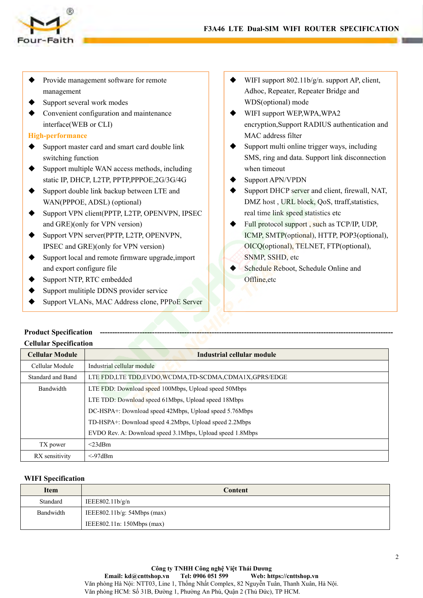

- F3A46 LTE Dual<br>
Provide management software for remote<br>
management<br>
→ Support several work modes<br>
→ Convenient configuration and maintenance<br>
→ WIFI<br>
→ WIFI<br>
→ WIFI<br>
→ WIFI<br>
→ WIFI<br>
→ WIFI<br>
→ WIFI management
- 
- F3A46<br>
Provide management software for remote<br>
management<br>
Support several work modes<br>
← Convenient configuration and maintenance<br>
interface(WEB or CLI)<br>
High-performance EXAMPLIE<br>
F3A46 LTE<br>
Provide management software for remote<br>
management<br>
→ Support several work modes<br>
→ Convenient configuration and maintenance<br>
interface(WEB or CLI)<br>
High-performance<br>
→ Support master card and smart c

## **High-performance**

- Faith<br>
Faith<br>
Provide management software for remote<br>
management<br>
Support several work modes<br>
Convenient configuration and maintenance<br>
interface(WEB or CLI)<br>
-performance<br>
Support master card and smart card double link<br>
s Provide management software for remote<br>management<br>Support several work modes<br>Convenient configuration and maintenance<br>interface(WEB or CLI)<br>-**performance**<br>Support master card and smart card double link<br>switching function<br>S
- Support several work modes<br>
Support several work modes<br>
Support several work modes<br>
Support several work modes<br>
∴<br>
Support several work modes<br>
The Convenient configuration and maintenance<br>
interface(WEB or CLI)<br>
<br>
Support <table>\n<tbody>\n<tr>\n<th>•</th>\n<td>Provide management software for remote management software for remote management</td>\n</tr>\n<tr>\n<td>•</td>\n<td>Support several work modes</td>\n</tr>\n<tr>\n<td>•</td>\n<td>Support several work modes</td>\n</tr>\n<tr>\n<td>•</td>\n<td>Support current configuration and maintenance interface (WEB or CLI)</td>\n</tr>\n<tr>\n<td>•</td>\n<td>High-performance encryption, <br/>sufficienting function</td>\n</tr>\n<tr>\n<td>•</td>\n<td>Support master card and smart card double link<br/>switching function</td>\n</tr>\n<tr>\n<td>•</td>\n<td>Support multiple WAN access methods, including<br/>static IP, DHCP, L2TP, PPTP, PPPOE static IP, DHCP, L2TP, PPTP,PPPOE,2G/3G/4G
- 
- Support several work modes<br>
A Support several work modes<br>
Adhoc, Repee<br>
Support several work modes<br>
Support interface(WEB or CLI)<br>
<br>
High-performance<br>
Support master card and smart card double link<br>
switching function<br>
S management<br>
Support several work modes<br>
Convenient configuration and maintenance<br>
interface(WEB or CLI)<br>
-**performance**<br>
Support master card and smart card double link<br>
switching function<br>
Support multiple WAN access metho Support several work modes<br>
interface(WEB or CLI)<br>
<br> **High-performance**<br>
Support master card and smart card double link<br>
switching function<br>
Support multiple WAN access methods, including<br>
static IP, DHCP, L2TP, PPTP, Convenient coninguration and maintenance<br>
interface(WEB or CLI)<br>
-**performance**<br>
Support master card and smart card double link<br>
switching function<br>
Support multiple WAN access methods, including<br>
static IP, DHCP, L2TP, PP Figh-performance<br>
Support master card and smart card double link<br>
Support multiple WAN access methods, including<br>
such that support multiple WAN access methods, including<br>
static IP, DHCP, L2TP, PPTP,PPPOE,2G/3G/4G<br>
Suppo -**periormance**<br>
Support master card and smart card double link<br>
switching function<br>
Support multiple WAN access methods, including<br>
static IP, DHCP, L2TP, PPTP,PPPOE,2G/3G/4G<br>
Support double link backup between LTE and<br>
W V<br>
Support master card and smart card double link<br>
switching function<br>
support multiple WAN access methods, including<br>
static IP, DHCP, L2TP, PPTP,PPPOE,2G/3G/4G<br>
Support double link backup between LTE and<br>
WAN(PPPOE, AD switching function<br>
Support multiple WAN access methods, including<br>
static IP, DHCP, L2TP, PPTP,PPPOE,2G/3G/4G<br>
Support double link backup between LTE and<br>
WAN(PPPOE, ADSL) (optional)<br>
Support VPN client(PPTP, L2TP, OPENVP ► Support multiple WAN access methods, including<br>static IP, DHCP, L2TP, PPTP,PPPOE,2G/3G/4G<br>Support double link backup between LTE and<br>WAN(PPPOE, ADSL) (optional)<br> $\blacklozenge$  Support VPN client(PPTP, L2TP, OPENVPN, IPSEC<br>and Support double link backup between LTE and<br>
WAN(PPPOE, ADSL) (optional)<br>
■WAN(PPPOE, ADSL) (optional)<br>
■Support VPN client(PPTP, L2TP, OPENVPN, IPSEC<br>
and GRE)(only for VPN version)<br>
■Support IVPN server(PPTP, L2TP, OPEN VERICULARS ANALLY SUPPORT AND SUPPORT AND SUPPORT AND SUPPORT AND SUPPORT AND SUPPORT PRECEMBER (PPTP, L2TP, OPENVPN, IPSEC<br>
Support VPN client(PPTP, L2TP, OPENVPN, IPSEC<br>
Support VPN server(PPTP, L2TP, OPENVPN,<br>
IPSEC a
- 
- 
- 
- 
- 
- **LTE Dual-SIM WIFI ROUTER SPECIFICATION**<br>
★ WIFI support 802.11b/g/n. support AP, client,<br>
Adhoc, Repeater, Repeater Bridge and<br>
WDS(optional) mode<br>
★ WIFI support WEP, WPA, WPA2 **Dual-SIM WIFI ROUTER SPECIFICATION**<br>WIFI support 802.11b/g/n. support AP, client,<br>Adhoc, Repeater, Repeater Bridge and<br>WDS(optional) mode<br>WIFI support WEP,WPA,WPA2<br>encryption,Support RADIUS authentication and
- **Dual-SIM WIFI ROUTER SPECIFICATION**<br>WIFI support 802.11b/g/n. support AP, client,<br>Adhoc, Repeater, Repeater Bridge and<br>WDS(optional) mode<br>WIFI support WEP,WPA,WPA2<br>encryption,Support RADIUS authentication and<br>MAC address **LTE Dual-SIM WIFI ROUTER SPECIFICATION**<br>
★ WIFI support 802.11b/g/n. support AP, client,<br>
Adhoc, Repeater, Repeater Bridge and<br>
WDS(optional) mode<br>
★ WIFI support WEP,WPA,WPA2<br>
encryption,Support RADIUS authentication a **Dual-SIM WIFI ROUTER SPECIFICATION**<br>WIFI support 802.11b/g/n. support AP, client,<br>Adhoc, Repeater, Repeater Bridge and<br>WDS(optional) mode<br>WIFI support WEP,WPA,WPA2<br>encryption,Support RADIUS authentication and<br>MAC address **Dual-SIM WIFI ROUTER SPECIFICATION**<br>WIFI support 802.11b/g/n. support AP, client,<br>Adhoc, Repeater, Repeater Bridge and<br>WDS(optional) mode<br>WIFI support WEP,WPA,WPA2<br>encryption,Support RADIUS authentication and<br>MAC address
- $\begin{array}{ll}\n\text{\textbf{def}} & \text{WIFI support 802.11b/g/n. support AP, client,} \n\end{array} \text{ADIQs (optional) mode} \n\begin{array}{ll}\n\text{WIFI support WEP, WPA, WPA2} \n\end{array} \text{encryption, Support RADIUS authentication and MAC address filter} \n\begin{array}{ll}\n\text{Support multi.} \n\end{array} \text{Support multi.} \n\text{Hilb} & \text{Support multi.} \n\end{array} \text{SMS, ring and data. Support link disconnection when timeout} \n\begin{array}{ll}\n\text{Support APN/VPDN}\n\end{array}$ WIFI support 802.11b/g/n. support AP, client,<br>Adhoc, Repeater, Repeater Bridge and<br>WDS(optional) mode<br>WIFI support WEP,WPA,WPA2<br>encryption,Support RADIUS authentication and<br>MAC address filter<br>Support multi online trigger w WIFI support 802.11b/g/n. support AP, clien<br>Adhoc, Repeater, Repeater Bridge and<br>WDS(optional) mode<br>WIFI support WEP,WPA,WPA2<br>encryption,Support RADIUS authentication<br>MAC address filter<br>Support multi online trigger ways, i <ul>\n<li> WIFI support 802.11b/g/n. support AP, client, Adhoc, Repeater, Repeater Bridge and WDS(optional) mode</li>\n<li> WIFI support WEP, WPA, WPA2 encryption, Support RADIUS authentication and MAC address filter</li>\n<li> Support multi online trigger ways, including SMS, ring and data. Support link disconnection when timeout</li>\n<li> Support APN/VPDN Support PHCP server and client, firewall, NAT, DMZ host, URL block, QoS, traffic, statistics, real time link speed statistics etc</li>\n</ul> VET support 802.110/g/n. support AP, chent,<br>Adhoc, Repeater, Repeater Bridge and<br>WDS(optional) mode<br>
↓ WIFI support WEP,WPA,WPA2<br>
encryption,Support RADIUS authentication and<br>
MAC address filter<br>
↓ Support multi online tr Adnoc, Kepeater, Kepeater Bridge and<br>
WDS(optional) mode<br>
WIFI support WEP,WPA,WPA2<br>
encryption, Support RADIUS authentication and<br>
MAC address filter<br>
Support multi online trigger ways, including<br>
SMS, ring and data. Supp WIFI support WEP,WPA,WPA2<br>encryption,Support RADIUS authentication and<br>MAC address filter<br>Support multi online trigger ways, including<br>SMS, ring and data. Support link disconnection<br>when timeout<br>Support APN/VPDN<br>Support AP
- 
- 
- WIFT support WEP, WPA, WPA2<br>
encryption, Support RADIUS authentication and<br>
MAC address filter<br>
 Support multi online trigger ways, including<br>
SMS, ring and data. Support link disconnection<br>
when timeout<br>
 Support APN encryption, support KADIUS authentication and<br>
MAC address filter<br>
Support multi online trigger ways, including<br>
SMS, ring and data. Support link disconnection<br>
when timeout<br>
Support APN/VPDN<br>
Support DHCP server and clien MAC address niter<br>
Support multi online trigger ways, including<br>
SMS, ring and data. Support link disconnection<br>
when timeout<br>
Support APN/VPDN<br>
Support DHCP server and client, firewall, NAT,<br>
DMZ host , URL block, QoS, tt Support multi online trigger ways, including<br>
SMS, ring and data. Support link disconnection<br>
when timeout<br>
Support APN/VPDN<br>
Support DHCP server and client, firewall, NAT,<br>
DMZ host, URL block, QoS, ttraff, statistics,<br>
r SMS, Fing and data. Support fink disconnection<br>when timeout<br>
Support APN/VPDN<br>
Support DHCP server and client, firewall, NAT,<br>
DMZ host, URL block, QoS, ttraff, statistics,<br>
real time link speed statistics etc<br>
Full protoc
- Offline,etc

|                                                   | Full protocol support, such as TCP/IP, UDP,<br>and GRE)(only for VPN version) |                                             |
|---------------------------------------------------|-------------------------------------------------------------------------------|---------------------------------------------|
| Support VPN server(PPTP, L2TP, OPENVPN,           |                                                                               | ICMP, SMTP(optional), HTTP, POP3(optional), |
| IPSEC and GRE)(only for VPN version)              |                                                                               | OICQ(optional), TELNET, FTP(optional),      |
| Support local and remote firmware upgrade, import |                                                                               | SNMP, SSHD, etc                             |
| and export configure file                         |                                                                               | Schedule Reboot, Schedule Online and        |
| Offline, etc<br>Support NTP, RTC embedded         |                                                                               |                                             |
|                                                   | Support mulitiple DDNS provider service                                       |                                             |
|                                                   | Support VLANs, MAC Address clone, PPPoE Server                                |                                             |
|                                                   |                                                                               |                                             |
| <b>Product Specification</b>                      |                                                                               |                                             |
| <b>Cellular Specification</b>                     |                                                                               |                                             |
| <b>Cellular Module</b>                            |                                                                               | <b>Industrial cellular module</b>           |
| Cellular Module                                   | Industrial cellular module                                                    |                                             |
| Standard and Band                                 | LTE FDD,LTE TDD,EVDO,WCDMA,TD-SCDMA,CDMA1X,GPRS/EDGE                          |                                             |
| Bandwidth                                         | LTE FDD: Download speed 100Mbps, Upload speed 50Mbps                          |                                             |
|                                                   | LTE TDD: Download speed 61Mbps, Upload speed 18Mbps                           |                                             |
|                                                   | DC-HSPA+: Download speed 42Mbps, Upload speed 5.76Mbps                        |                                             |
|                                                   | TD-HSPA+: Download speed 4.2Mbps, Upload speed 2.2Mbps                        |                                             |
|                                                   | EVDO Rev. A: Download speed 3.1Mbps, Upload speed 1.8Mbps                     |                                             |
| TX power                                          | $<$ 23dBm                                                                     |                                             |
| RX sensitivity                                    | $<$ -97dBm                                                                    |                                             |
|                                                   |                                                                               |                                             |
| <b>WIFI Specification</b>                         |                                                                               |                                             |
| <b>Item</b>                                       |                                                                               | Content                                     |
| Standard                                          | IEEE802.11b/g/n                                                               |                                             |
| Bandwidth                                         | IEEE802.11b/g: 54Mbps (max)                                                   |                                             |

|                           | TD-HSPA+: Download speed 4.2Mbps, Upload speed 2.2Mbps    |
|---------------------------|-----------------------------------------------------------|
|                           | EVDO Rev. A: Download speed 3.1Mbps, Upload speed 1.8Mbps |
| TX power                  | $<$ 23dBm                                                 |
| RX sensitivity            | $\leq$ -97dBm                                             |
|                           |                                                           |
| <b>WIFI Specification</b> |                                                           |
|                           |                                                           |
| <b>Item</b>               | Content                                                   |
| Standard                  | IEEE802.11b/g/n                                           |
| Bandwidth                 | IEEE802.11b/g: $54Mbps$ (max)                             |
|                           | IEEE802.11n: 150Mbps (max)                                |
|                           |                                                           |
|                           |                                                           |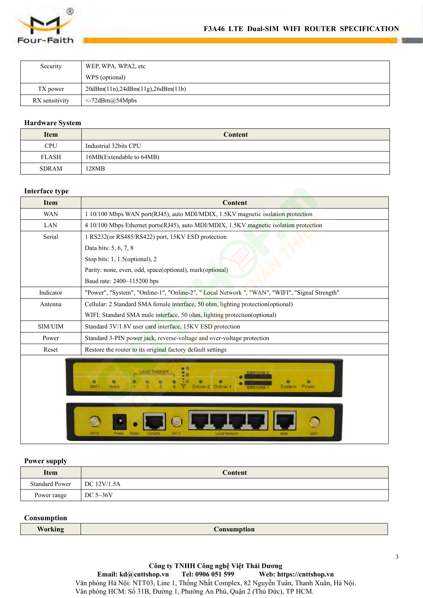

| (R)                    | F3A46 LTE Dual-SIM WIFI ROUTER SPECIFICATI |  |
|------------------------|--------------------------------------------|--|
| Four-Faith             |                                            |  |
| Security               | WEP, WPA, WPA2, etc                        |  |
|                        | WPS (optional)                             |  |
| TX power               | 20dBm(11n),24dBm(11g),26dBm(11b)           |  |
| RX sensitivity         | <-72dBm@54Mpbs                             |  |
| <b>Hardware System</b> |                                            |  |
| <b>Item</b>            | <b>Content</b>                             |  |
| <b>CPU</b>             | Industrial 32bits CPU                      |  |
| <b>FLASH</b>           | 16MB(Extendable to 64MB)                   |  |

| Security               | WEP, WPA, WPA2, etc                                                                     |
|------------------------|-----------------------------------------------------------------------------------------|
|                        | WPS (optional)                                                                          |
| TX power               | 20dBm(11n),24dBm(11g),26dBm(11b)                                                        |
| RX sensitivity         | <-72dBm@54Mpbs                                                                          |
|                        |                                                                                         |
| <b>Hardware System</b> |                                                                                         |
| <b>Item</b>            | Content                                                                                 |
| <b>CPU</b>             | Industrial 32bits CPU                                                                   |
| <b>FLASH</b>           | 16MB(Extendable to 64MB)                                                                |
| <b>SDRAM</b>           | 128MB                                                                                   |
|                        |                                                                                         |
| Interface type         |                                                                                         |
| <b>Item</b>            | <b>Content</b>                                                                          |
| <b>WAN</b>             | 1 10/100 Mbps WAN port(RJ45), auto MDI/MDIX, 1.5KV magnetic isolation protection        |
| LAN                    | 4 10/100 Mbps Ethernet ports (RJ45), auto MDI/MDIX, 1.5KV magnetic isolation protection |

| <b>Hardware System</b> |                                                                                                                           |  |
|------------------------|---------------------------------------------------------------------------------------------------------------------------|--|
| <b>Item</b>            | <b>Content</b>                                                                                                            |  |
| <b>CPU</b>             | Industrial 32bits CPU                                                                                                     |  |
| <b>FLASH</b>           | 16MB(Extendable to 64MB)                                                                                                  |  |
| <b>SDRAM</b>           | 128MB                                                                                                                     |  |
|                        |                                                                                                                           |  |
| Interface type         |                                                                                                                           |  |
| <b>Item</b>            | Content                                                                                                                   |  |
| <b>WAN</b>             | 1 10/100 Mbps WAN port(RJ45), auto MDI/MDIX, 1.5KV magnetic isolation protection                                          |  |
| LAN                    | 4 10/100 Mbps Ethernet ports(RJ45), auto MDI/MDIX, 1.5KV magnetic isolation protection                                    |  |
| Serial                 | 1 RS232(or RS485/RS422) port, 15KV ESD protection                                                                         |  |
|                        | Data bits: 5, 6, 7, 8                                                                                                     |  |
|                        | Stop bits: 1, 1.5(optional), 2                                                                                            |  |
|                        | Parity: none, even, odd, space(optional), mark(optional)                                                                  |  |
|                        | Baud rate: 2400~115200 bps                                                                                                |  |
| Indicator              | "Power", "System", "Online-1", "Online-2", " Local Network ", "WAN", "WIFI", "Signal Strength"                            |  |
| Antenna                | Cellular: 2 Standard SMA female interface, 50 ohm, lighting protection(optional)                                          |  |
|                        | WIFI: Standard SMA male interface, 50 ohm, lighting protection(optional)                                                  |  |
| $\text{SIM/UIM}$       | Standard 3V/1.8V user card interface, 15KV ESD protection                                                                 |  |
| Power                  | Standard 3-PIN power jack, reverse-voltage and over-voltage protection                                                    |  |
| Reset                  | Restore the router to its original factory default settings                                                               |  |
|                        | <b>o</b> O<br>Local Network<br>۰<br>۰<br>٠<br>۰<br>WIFI<br>Online-<br>Power<br>WAN<br>Online-2<br>System<br>Local Natwork |  |
| <b>Power supply</b>    |                                                                                                                           |  |
| <b>Item</b>            | <b>Content</b>                                                                                                            |  |
| <b>Standard Power</b>  | DC 12V/1.5A                                                                                                               |  |
| Power range            | DC 5~36V                                                                                                                  |  |
| Consumption            |                                                                                                                           |  |
|                        |                                                                                                                           |  |

| <b>Item</b>           | Content       |
|-----------------------|---------------|
| <b>Standard Power</b> | DC $12V/1.5A$ |
| Power range           | DC $5\sim36V$ |

# **Consumption**

| <b>Working</b> | $\mathcal{L}$ onsumption |
|----------------|--------------------------|
|                |                          |

**Công ty TNHH Công nghệ Việt Thái Dương<br>Email: kd@cnttshop.vn Tel: 0906 051 599 Web: ht**  $\text{Web: }\n **https://entshop.vn**$ Văn phòng Hà Nội: NTT03, Line 1, Thống Nhất Complex, 82 Nguyễn Tuân, Thanh Xuân, Hà Nội. Văn phòng HCM: Số 31B, Đường 1, Phường An Phú, Quận 2 (Thủ Đức), TP HCM.